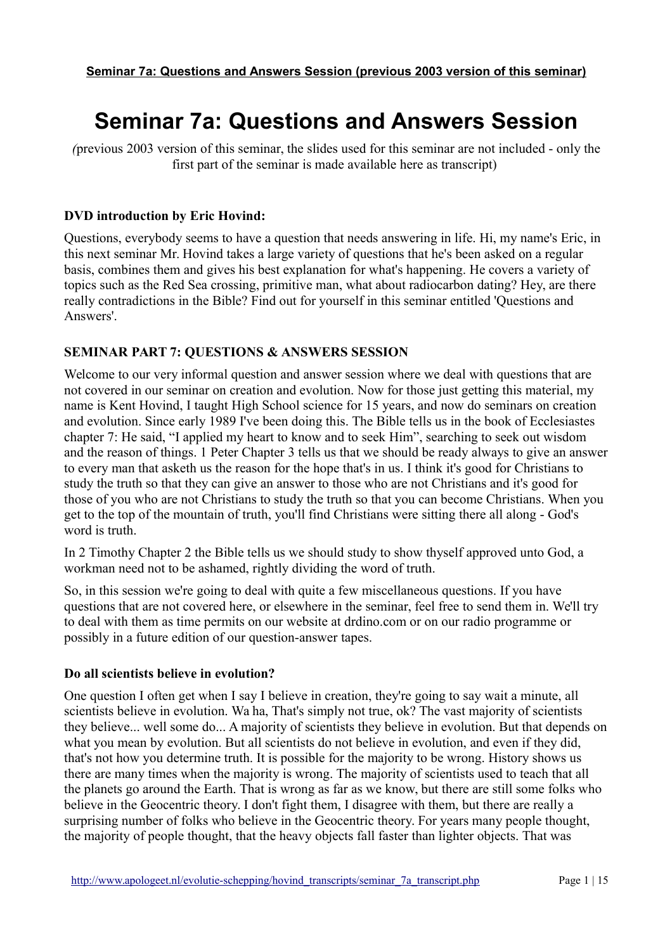# **Seminar 7a: Questions and Answers Session**

*(*previous 2003 version of this seminar, the slides used for this seminar are not included - only the first part of the seminar is made available here as transcript)

## **DVD introduction by Eric Hovind:**

Questions, everybody seems to have a question that needs answering in life. Hi, my name's Eric, in this next seminar Mr. Hovind takes a large variety of questions that he's been asked on a regular basis, combines them and gives his best explanation for what's happening. He covers a variety of topics such as the Red Sea crossing, primitive man, what about radiocarbon dating? Hey, are there really contradictions in the Bible? Find out for yourself in this seminar entitled 'Questions and Answers'.

# **SEMINAR PART 7: QUESTIONS & ANSWERS SESSION**

Welcome to our very informal question and answer session where we deal with questions that are not covered in our seminar on creation and evolution. Now for those just getting this material, my name is Kent Hovind, I taught High School science for 15 years, and now do seminars on creation and evolution. Since early 1989 I've been doing this. The Bible tells us in the book of Ecclesiastes chapter 7: He said, "I applied my heart to know and to seek Him", searching to seek out wisdom and the reason of things. 1 Peter Chapter 3 tells us that we should be ready always to give an answer to every man that asketh us the reason for the hope that's in us. I think it's good for Christians to study the truth so that they can give an answer to those who are not Christians and it's good for those of you who are not Christians to study the truth so that you can become Christians. When you get to the top of the mountain of truth, you'll find Christians were sitting there all along - God's word is truth.

In 2 Timothy Chapter 2 the Bible tells us we should study to show thyself approved unto God, a workman need not to be ashamed, rightly dividing the word of truth.

So, in this session we're going to deal with quite a few miscellaneous questions. If you have questions that are not covered here, or elsewhere in the seminar, feel free to send them in. We'll try to deal with them as time permits on our website at drdino.com or on our radio programme or possibly in a future edition of our question-answer tapes.

## **Do all scientists believe in evolution?**

One question I often get when I say I believe in creation, they're going to say wait a minute, all scientists believe in evolution. Wa ha, That's simply not true, ok? The vast majority of scientists they believe... well some do... A majority of scientists they believe in evolution. But that depends on what you mean by evolution. But all scientists do not believe in evolution, and even if they did, that's not how you determine truth. It is possible for the majority to be wrong. History shows us there are many times when the majority is wrong. The majority of scientists used to teach that all the planets go around the Earth. That is wrong as far as we know, but there are still some folks who believe in the Geocentric theory. I don't fight them, I disagree with them, but there are really a surprising number of folks who believe in the Geocentric theory. For years many people thought, the majority of people thought, that the heavy objects fall faster than lighter objects. That was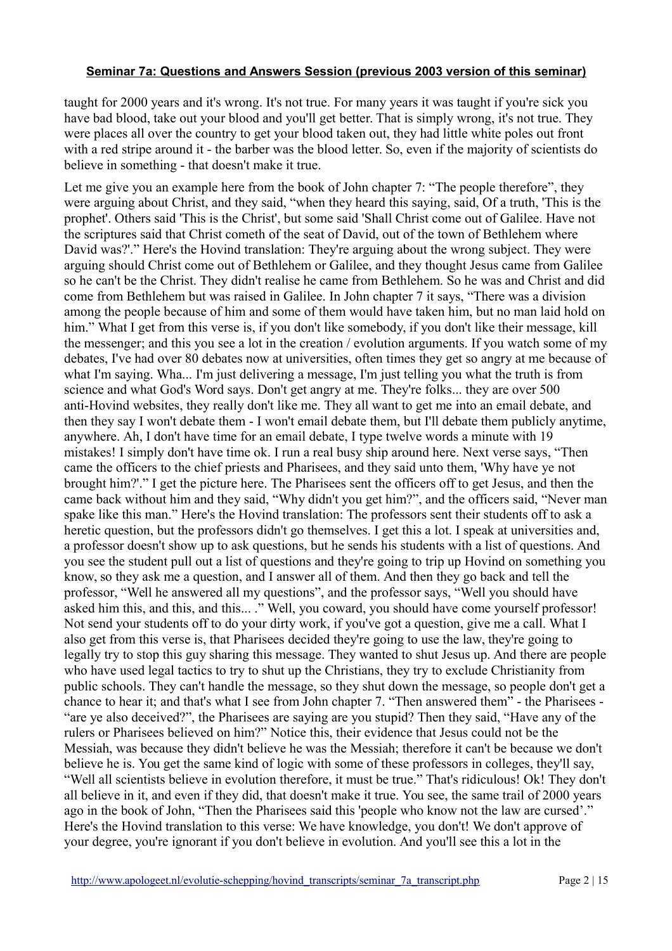taught for 2000 years and it's wrong. It's not true. For many years it was taught if you're sick you have bad blood, take out your blood and you'll get better. That is simply wrong, it's not true. They were places all over the country to get your blood taken out, they had little white poles out front with a red stripe around it - the barber was the blood letter. So, even if the majority of scientists do believe in something - that doesn't make it true.

Let me give you an example here from the book of John chapter 7: "The people therefore", they were arguing about Christ, and they said, "when they heard this saying, said, Of a truth, 'This is the prophet'. Others said 'This is the Christ', but some said 'Shall Christ come out of Galilee. Have not the scriptures said that Christ cometh of the seat of David, out of the town of Bethlehem where David was?'." Here's the Hovind translation: They're arguing about the wrong subject. They were arguing should Christ come out of Bethlehem or Galilee, and they thought Jesus came from Galilee so he can't be the Christ. They didn't realise he came from Bethlehem. So he was and Christ and did come from Bethlehem but was raised in Galilee. In John chapter 7 it says, "There was a division among the people because of him and some of them would have taken him, but no man laid hold on him." What I get from this verse is, if you don't like somebody, if you don't like their message, kill the messenger; and this you see a lot in the creation / evolution arguments. If you watch some of my debates, I've had over 80 debates now at universities, often times they get so angry at me because of what I'm saying. Wha... I'm just delivering a message, I'm just telling you what the truth is from science and what God's Word says. Don't get angry at me. They're folks... they are over 500 anti-Hovind websites, they really don't like me. They all want to get me into an email debate, and then they say I won't debate them - I won't email debate them, but I'll debate them publicly anytime, anywhere. Ah, I don't have time for an email debate, I type twelve words a minute with 19 mistakes! I simply don't have time ok. I run a real busy ship around here. Next verse says, "Then came the officers to the chief priests and Pharisees, and they said unto them, 'Why have ye not brought him?'." I get the picture here. The Pharisees sent the officers off to get Jesus, and then the came back without him and they said, "Why didn't you get him?", and the officers said, "Never man spake like this man." Here's the Hovind translation: The professors sent their students off to ask a heretic question, but the professors didn't go themselves. I get this a lot. I speak at universities and, a professor doesn't show up to ask questions, but he sends his students with a list of questions. And you see the student pull out a list of questions and they're going to trip up Hovind on something you know, so they ask me a question, and I answer all of them. And then they go back and tell the professor, "Well he answered all my questions", and the professor says, "Well you should have asked him this, and this, and this... ." Well, you coward, you should have come yourself professor! Not send your students off to do your dirty work, if you've got a question, give me a call. What I also get from this verse is, that Pharisees decided they're going to use the law, they're going to legally try to stop this guy sharing this message. They wanted to shut Jesus up. And there are people who have used legal tactics to try to shut up the Christians, they try to exclude Christianity from public schools. They can't handle the message, so they shut down the message, so people don't get a chance to hear it; and that's what I see from John chapter 7. "Then answered them" - the Pharisees - "are ye also deceived?", the Pharisees are saying are you stupid? Then they said, "Have any of the rulers or Pharisees believed on him?" Notice this, their evidence that Jesus could not be the Messiah, was because they didn't believe he was the Messiah; therefore it can't be because we don't believe he is. You get the same kind of logic with some of these professors in colleges, they'll say, "Well all scientists believe in evolution therefore, it must be true." That's ridiculous! Ok! They don't all believe in it, and even if they did, that doesn't make it true. You see, the same trail of 2000 years ago in the book of John, "Then the Pharisees said this 'people who know not the law are cursed'." Here's the Hovind translation to this verse: We have knowledge, you don't! We don't approve of your degree, you're ignorant if you don't believe in evolution. And you'll see this a lot in the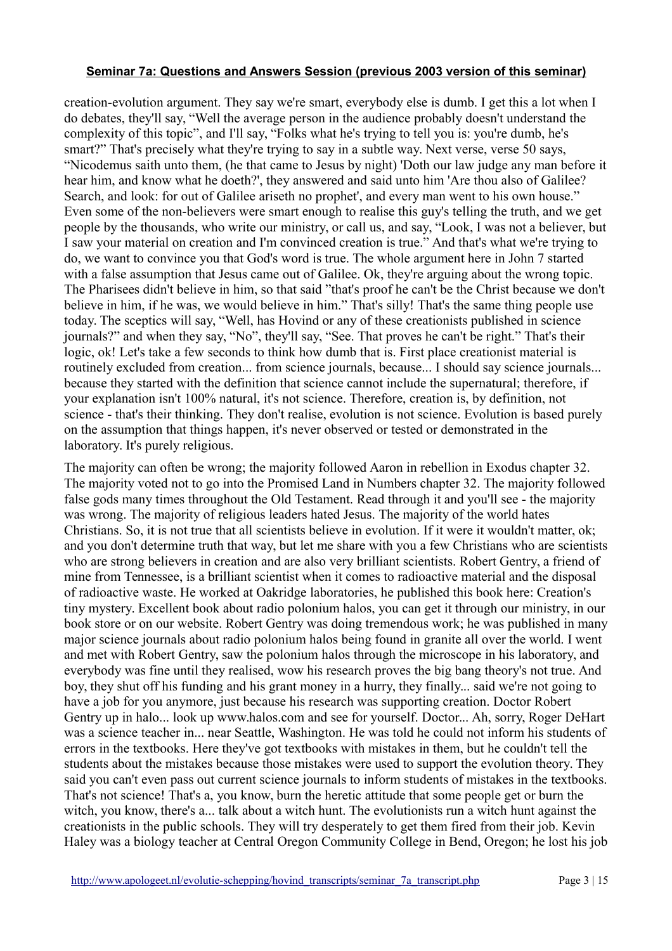creation-evolution argument. They say we're smart, everybody else is dumb. I get this a lot when I do debates, they'll say, "Well the average person in the audience probably doesn't understand the complexity of this topic", and I'll say, "Folks what he's trying to tell you is: you're dumb, he's smart?" That's precisely what they're trying to say in a subtle way. Next verse, verse 50 says, "Nicodemus saith unto them, (he that came to Jesus by night) 'Doth our law judge any man before it hear him, and know what he doeth?', they answered and said unto him 'Are thou also of Galilee? Search, and look: for out of Galilee ariseth no prophet', and every man went to his own house." Even some of the non-believers were smart enough to realise this guy's telling the truth, and we get people by the thousands, who write our ministry, or call us, and say, "Look, I was not a believer, but I saw your material on creation and I'm convinced creation is true." And that's what we're trying to do, we want to convince you that God's word is true. The whole argument here in John 7 started with a false assumption that Jesus came out of Galilee. Ok, they're arguing about the wrong topic. The Pharisees didn't believe in him, so that said "that's proof he can't be the Christ because we don't believe in him, if he was, we would believe in him." That's silly! That's the same thing people use today. The sceptics will say, "Well, has Hovind or any of these creationists published in science journals?" and when they say, "No", they'll say, "See. That proves he can't be right." That's their logic, ok! Let's take a few seconds to think how dumb that is. First place creationist material is routinely excluded from creation... from science journals, because... I should say science journals... because they started with the definition that science cannot include the supernatural; therefore, if your explanation isn't 100% natural, it's not science. Therefore, creation is, by definition, not science - that's their thinking. They don't realise, evolution is not science. Evolution is based purely on the assumption that things happen, it's never observed or tested or demonstrated in the laboratory. It's purely religious.

The majority can often be wrong; the majority followed Aaron in rebellion in Exodus chapter 32. The majority voted not to go into the Promised Land in Numbers chapter 32. The majority followed false gods many times throughout the Old Testament. Read through it and you'll see - the majority was wrong. The majority of religious leaders hated Jesus. The majority of the world hates Christians. So, it is not true that all scientists believe in evolution. If it were it wouldn't matter, ok; and you don't determine truth that way, but let me share with you a few Christians who are scientists who are strong believers in creation and are also very brilliant scientists. Robert Gentry, a friend of mine from Tennessee, is a brilliant scientist when it comes to radioactive material and the disposal of radioactive waste. He worked at Oakridge laboratories, he published this book here: Creation's tiny mystery. Excellent book about radio polonium halos, you can get it through our ministry, in our book store or on our website. Robert Gentry was doing tremendous work; he was published in many major science journals about radio polonium halos being found in granite all over the world. I went and met with Robert Gentry, saw the polonium halos through the microscope in his laboratory, and everybody was fine until they realised, wow his research proves the big bang theory's not true. And boy, they shut off his funding and his grant money in a hurry, they finally... said we're not going to have a job for you anymore, just because his research was supporting creation. Doctor Robert Gentry up in halo... look up www.halos.com and see for yourself. Doctor... Ah, sorry, Roger DeHart was a science teacher in... near Seattle, Washington. He was told he could not inform his students of errors in the textbooks. Here they've got textbooks with mistakes in them, but he couldn't tell the students about the mistakes because those mistakes were used to support the evolution theory. They said you can't even pass out current science journals to inform students of mistakes in the textbooks. That's not science! That's a, you know, burn the heretic attitude that some people get or burn the witch, you know, there's a... talk about a witch hunt. The evolutionists run a witch hunt against the creationists in the public schools. They will try desperately to get them fired from their job. Kevin Haley was a biology teacher at Central Oregon Community College in Bend, Oregon; he lost his job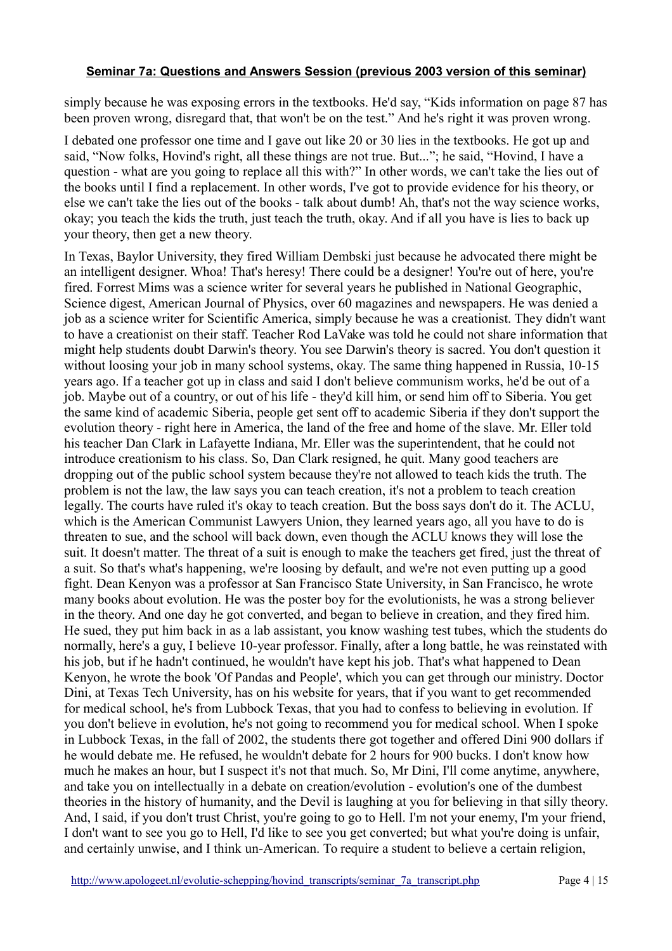simply because he was exposing errors in the textbooks. He'd say, "Kids information on page 87 has been proven wrong, disregard that, that won't be on the test." And he's right it was proven wrong.

I debated one professor one time and I gave out like 20 or 30 lies in the textbooks. He got up and said, "Now folks, Hovind's right, all these things are not true. But..."; he said, "Hovind, I have a question - what are you going to replace all this with?" In other words, we can't take the lies out of the books until I find a replacement. In other words, I've got to provide evidence for his theory, or else we can't take the lies out of the books - talk about dumb! Ah, that's not the way science works, okay; you teach the kids the truth, just teach the truth, okay. And if all you have is lies to back up your theory, then get a new theory.

In Texas, Baylor University, they fired William Dembski just because he advocated there might be an intelligent designer. Whoa! That's heresy! There could be a designer! You're out of here, you're fired. Forrest Mims was a science writer for several years he published in National Geographic, Science digest, American Journal of Physics, over 60 magazines and newspapers. He was denied a job as a science writer for Scientific America, simply because he was a creationist. They didn't want to have a creationist on their staff. Teacher Rod LaVake was told he could not share information that might help students doubt Darwin's theory. You see Darwin's theory is sacred. You don't question it without loosing your job in many school systems, okay. The same thing happened in Russia, 10-15 years ago. If a teacher got up in class and said I don't believe communism works, he'd be out of a job. Maybe out of a country, or out of his life - they'd kill him, or send him off to Siberia. You get the same kind of academic Siberia, people get sent off to academic Siberia if they don't support the evolution theory - right here in America, the land of the free and home of the slave. Mr. Eller told his teacher Dan Clark in Lafayette Indiana, Mr. Eller was the superintendent, that he could not introduce creationism to his class. So, Dan Clark resigned, he quit. Many good teachers are dropping out of the public school system because they're not allowed to teach kids the truth. The problem is not the law, the law says you can teach creation, it's not a problem to teach creation legally. The courts have ruled it's okay to teach creation. But the boss says don't do it. The ACLU, which is the American Communist Lawyers Union, they learned years ago, all you have to do is threaten to sue, and the school will back down, even though the ACLU knows they will lose the suit. It doesn't matter. The threat of a suit is enough to make the teachers get fired, just the threat of a suit. So that's what's happening, we're loosing by default, and we're not even putting up a good fight. Dean Kenyon was a professor at San Francisco State University, in San Francisco, he wrote many books about evolution. He was the poster boy for the evolutionists, he was a strong believer in the theory. And one day he got converted, and began to believe in creation, and they fired him. He sued, they put him back in as a lab assistant, you know washing test tubes, which the students do normally, here's a guy, I believe 10-year professor. Finally, after a long battle, he was reinstated with his job, but if he hadn't continued, he wouldn't have kept his job. That's what happened to Dean Kenyon, he wrote the book 'Of Pandas and People', which you can get through our ministry. Doctor Dini, at Texas Tech University, has on his website for years, that if you want to get recommended for medical school, he's from Lubbock Texas, that you had to confess to believing in evolution. If you don't believe in evolution, he's not going to recommend you for medical school. When I spoke in Lubbock Texas, in the fall of 2002, the students there got together and offered Dini 900 dollars if he would debate me. He refused, he wouldn't debate for 2 hours for 900 bucks. I don't know how much he makes an hour, but I suspect it's not that much. So, Mr Dini, I'll come anytime, anywhere, and take you on intellectually in a debate on creation/evolution - evolution's one of the dumbest theories in the history of humanity, and the Devil is laughing at you for believing in that silly theory. And, I said, if you don't trust Christ, you're going to go to Hell. I'm not your enemy, I'm your friend, I don't want to see you go to Hell, I'd like to see you get converted; but what you're doing is unfair, and certainly unwise, and I think un-American. To require a student to believe a certain religion,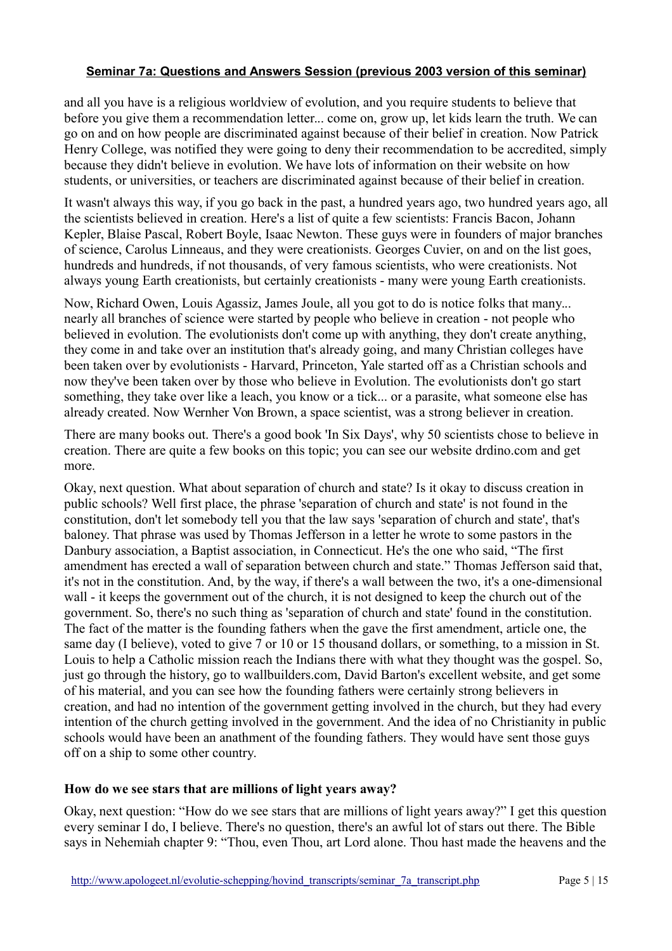and all you have is a religious worldview of evolution, and you require students to believe that before you give them a recommendation letter... come on, grow up, let kids learn the truth. We can go on and on how people are discriminated against because of their belief in creation. Now Patrick Henry College, was notified they were going to deny their recommendation to be accredited, simply because they didn't believe in evolution. We have lots of information on their website on how students, or universities, or teachers are discriminated against because of their belief in creation.

It wasn't always this way, if you go back in the past, a hundred years ago, two hundred years ago, all the scientists believed in creation. Here's a list of quite a few scientists: Francis Bacon, Johann Kepler, Blaise Pascal, Robert Boyle, Isaac Newton. These guys were in founders of major branches of science, Carolus Linneaus, and they were creationists. Georges Cuvier, on and on the list goes, hundreds and hundreds, if not thousands, of very famous scientists, who were creationists. Not always young Earth creationists, but certainly creationists - many were young Earth creationists.

Now, Richard Owen, Louis Agassiz, James Joule, all you got to do is notice folks that many... nearly all branches of science were started by people who believe in creation - not people who believed in evolution. The evolutionists don't come up with anything, they don't create anything, they come in and take over an institution that's already going, and many Christian colleges have been taken over by evolutionists - Harvard, Princeton, Yale started off as a Christian schools and now they've been taken over by those who believe in Evolution. The evolutionists don't go start something, they take over like a leach, you know or a tick... or a parasite, what someone else has already created. Now Wernher Von Brown, a space scientist, was a strong believer in creation.

There are many books out. There's a good book 'In Six Days', why 50 scientists chose to believe in creation. There are quite a few books on this topic; you can see our website drdino.com and get more.

Okay, next question. What about separation of church and state? Is it okay to discuss creation in public schools? Well first place, the phrase 'separation of church and state' is not found in the constitution, don't let somebody tell you that the law says 'separation of church and state', that's baloney. That phrase was used by Thomas Jefferson in a letter he wrote to some pastors in the Danbury association, a Baptist association, in Connecticut. He's the one who said, "The first amendment has erected a wall of separation between church and state." Thomas Jefferson said that, it's not in the constitution. And, by the way, if there's a wall between the two, it's a one-dimensional wall - it keeps the government out of the church, it is not designed to keep the church out of the government. So, there's no such thing as 'separation of church and state' found in the constitution. The fact of the matter is the founding fathers when the gave the first amendment, article one, the same day (I believe), voted to give 7 or 10 or 15 thousand dollars, or something, to a mission in St. Louis to help a Catholic mission reach the Indians there with what they thought was the gospel. So, just go through the history, go to wallbuilders.com, David Barton's excellent website, and get some of his material, and you can see how the founding fathers were certainly strong believers in creation, and had no intention of the government getting involved in the church, but they had every intention of the church getting involved in the government. And the idea of no Christianity in public schools would have been an anathment of the founding fathers. They would have sent those guys off on a ship to some other country.

## **How do we see stars that are millions of light years away?**

Okay, next question: "How do we see stars that are millions of light years away?" I get this question every seminar I do, I believe. There's no question, there's an awful lot of stars out there. The Bible says in Nehemiah chapter 9: "Thou, even Thou, art Lord alone. Thou hast made the heavens and the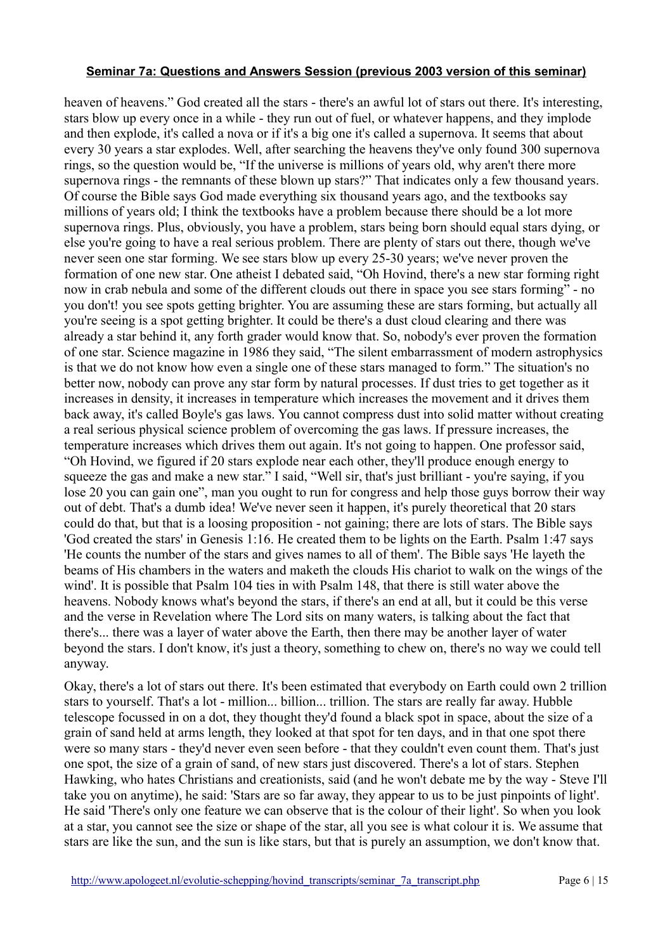heaven of heavens." God created all the stars - there's an awful lot of stars out there. It's interesting, stars blow up every once in a while - they run out of fuel, or whatever happens, and they implode and then explode, it's called a nova or if it's a big one it's called a supernova. It seems that about every 30 years a star explodes. Well, after searching the heavens they've only found 300 supernova rings, so the question would be, "If the universe is millions of years old, why aren't there more supernova rings - the remnants of these blown up stars?" That indicates only a few thousand years. Of course the Bible says God made everything six thousand years ago, and the textbooks say millions of years old; I think the textbooks have a problem because there should be a lot more supernova rings. Plus, obviously, you have a problem, stars being born should equal stars dying, or else you're going to have a real serious problem. There are plenty of stars out there, though we've never seen one star forming. We see stars blow up every 25-30 years; we've never proven the formation of one new star. One atheist I debated said, "Oh Hovind, there's a new star forming right now in crab nebula and some of the different clouds out there in space you see stars forming" - no you don't! you see spots getting brighter. You are assuming these are stars forming, but actually all you're seeing is a spot getting brighter. It could be there's a dust cloud clearing and there was already a star behind it, any forth grader would know that. So, nobody's ever proven the formation of one star. Science magazine in 1986 they said, "The silent embarrassment of modern astrophysics is that we do not know how even a single one of these stars managed to form." The situation's no better now, nobody can prove any star form by natural processes. If dust tries to get together as it increases in density, it increases in temperature which increases the movement and it drives them back away, it's called Boyle's gas laws. You cannot compress dust into solid matter without creating a real serious physical science problem of overcoming the gas laws. If pressure increases, the temperature increases which drives them out again. It's not going to happen. One professor said, "Oh Hovind, we figured if 20 stars explode near each other, they'll produce enough energy to squeeze the gas and make a new star." I said, "Well sir, that's just brilliant - you're saying, if you lose 20 you can gain one", man you ought to run for congress and help those guys borrow their way out of debt. That's a dumb idea! We've never seen it happen, it's purely theoretical that 20 stars could do that, but that is a loosing proposition - not gaining; there are lots of stars. The Bible says 'God created the stars' in Genesis 1:16. He created them to be lights on the Earth. Psalm 1:47 says 'He counts the number of the stars and gives names to all of them'. The Bible says 'He layeth the beams of His chambers in the waters and maketh the clouds His chariot to walk on the wings of the wind'. It is possible that Psalm 104 ties in with Psalm 148, that there is still water above the heavens. Nobody knows what's beyond the stars, if there's an end at all, but it could be this verse and the verse in Revelation where The Lord sits on many waters, is talking about the fact that there's... there was a layer of water above the Earth, then there may be another layer of water beyond the stars. I don't know, it's just a theory, something to chew on, there's no way we could tell anyway.

Okay, there's a lot of stars out there. It's been estimated that everybody on Earth could own 2 trillion stars to yourself. That's a lot - million... billion... trillion. The stars are really far away. Hubble telescope focussed in on a dot, they thought they'd found a black spot in space, about the size of a grain of sand held at arms length, they looked at that spot for ten days, and in that one spot there were so many stars - they'd never even seen before - that they couldn't even count them. That's just one spot, the size of a grain of sand, of new stars just discovered. There's a lot of stars. Stephen Hawking, who hates Christians and creationists, said (and he won't debate me by the way - Steve I'll take you on anytime), he said: 'Stars are so far away, they appear to us to be just pinpoints of light'. He said 'There's only one feature we can observe that is the colour of their light'. So when you look at a star, you cannot see the size or shape of the star, all you see is what colour it is. We assume that stars are like the sun, and the sun is like stars, but that is purely an assumption, we don't know that.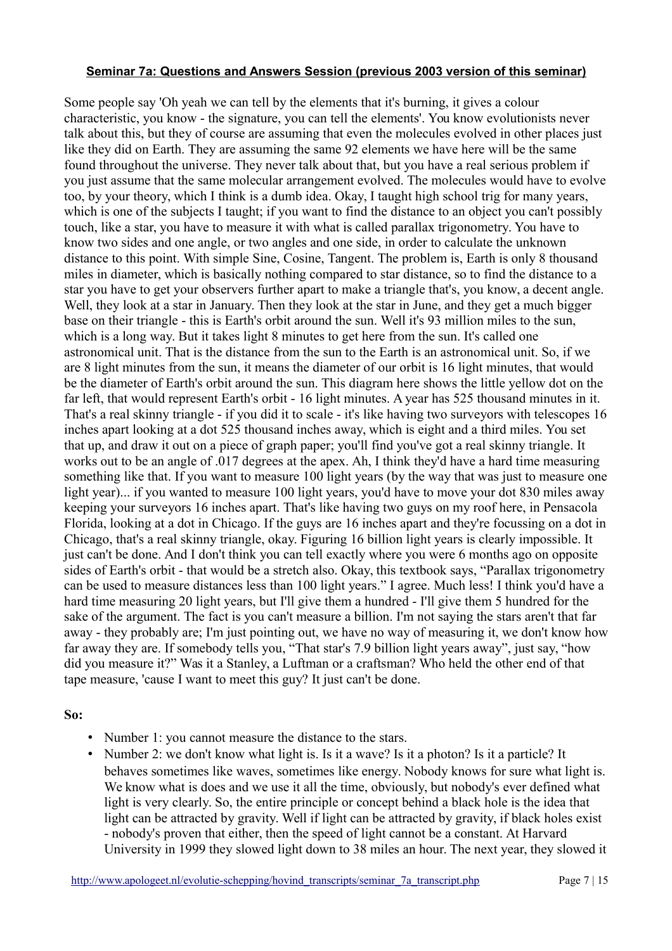Some people say 'Oh yeah we can tell by the elements that it's burning, it gives a colour characteristic, you know - the signature, you can tell the elements'. You know evolutionists never talk about this, but they of course are assuming that even the molecules evolved in other places just like they did on Earth. They are assuming the same 92 elements we have here will be the same found throughout the universe. They never talk about that, but you have a real serious problem if you just assume that the same molecular arrangement evolved. The molecules would have to evolve too, by your theory, which I think is a dumb idea. Okay, I taught high school trig for many years, which is one of the subjects I taught; if you want to find the distance to an object you can't possibly touch, like a star, you have to measure it with what is called parallax trigonometry. You have to know two sides and one angle, or two angles and one side, in order to calculate the unknown distance to this point. With simple Sine, Cosine, Tangent. The problem is, Earth is only 8 thousand miles in diameter, which is basically nothing compared to star distance, so to find the distance to a star you have to get your observers further apart to make a triangle that's, you know, a decent angle. Well, they look at a star in January. Then they look at the star in June, and they get a much bigger base on their triangle - this is Earth's orbit around the sun. Well it's 93 million miles to the sun, which is a long way. But it takes light 8 minutes to get here from the sun. It's called one astronomical unit. That is the distance from the sun to the Earth is an astronomical unit. So, if we are 8 light minutes from the sun, it means the diameter of our orbit is 16 light minutes, that would be the diameter of Earth's orbit around the sun. This diagram here shows the little yellow dot on the far left, that would represent Earth's orbit - 16 light minutes. A year has 525 thousand minutes in it. That's a real skinny triangle - if you did it to scale - it's like having two surveyors with telescopes 16 inches apart looking at a dot 525 thousand inches away, which is eight and a third miles. You set that up, and draw it out on a piece of graph paper; you'll find you've got a real skinny triangle. It works out to be an angle of .017 degrees at the apex. Ah, I think they'd have a hard time measuring something like that. If you want to measure 100 light years (by the way that was just to measure one light year)... if you wanted to measure 100 light years, you'd have to move your dot 830 miles away keeping your surveyors 16 inches apart. That's like having two guys on my roof here, in Pensacola Florida, looking at a dot in Chicago. If the guys are 16 inches apart and they're focussing on a dot in Chicago, that's a real skinny triangle, okay. Figuring 16 billion light years is clearly impossible. It just can't be done. And I don't think you can tell exactly where you were 6 months ago on opposite sides of Earth's orbit - that would be a stretch also. Okay, this textbook says, "Parallax trigonometry can be used to measure distances less than 100 light years." I agree. Much less! I think you'd have a hard time measuring 20 light years, but I'll give them a hundred - I'll give them 5 hundred for the sake of the argument. The fact is you can't measure a billion. I'm not saying the stars aren't that far away - they probably are; I'm just pointing out, we have no way of measuring it, we don't know how far away they are. If somebody tells you, "That star's 7.9 billion light years away", just say, "how did you measure it?" Was it a Stanley, a Luftman or a craftsman? Who held the other end of that tape measure, 'cause I want to meet this guy? It just can't be done.

#### **So:**

- Number 1: you cannot measure the distance to the stars.
- Number 2: we don't know what light is. Is it a wave? Is it a photon? Is it a particle? It behaves sometimes like waves, sometimes like energy. Nobody knows for sure what light is. We know what is does and we use it all the time, obviously, but nobody's ever defined what light is very clearly. So, the entire principle or concept behind a black hole is the idea that light can be attracted by gravity. Well if light can be attracted by gravity, if black holes exist - nobody's proven that either, then the speed of light cannot be a constant. At Harvard University in 1999 they slowed light down to 38 miles an hour. The next year, they slowed it

[http://www.apologeet.nl/evolutie-schepping/hovind\\_transcripts/seminar\\_7a\\_transcript.php](http://www.apologeet.nl/evolutie-schepping/hovind_transcripts/seminar_7a_transcript.php) Page 7 | 15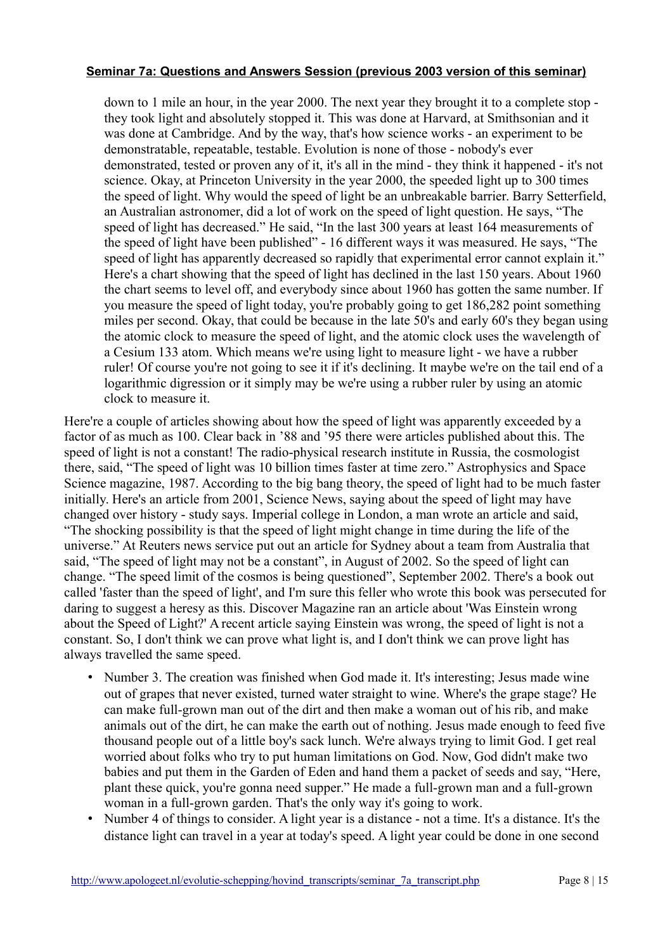down to 1 mile an hour, in the year 2000. The next year they brought it to a complete stop they took light and absolutely stopped it. This was done at Harvard, at Smithsonian and it was done at Cambridge. And by the way, that's how science works - an experiment to be demonstratable, repeatable, testable. Evolution is none of those - nobody's ever demonstrated, tested or proven any of it, it's all in the mind - they think it happened - it's not science. Okay, at Princeton University in the year 2000, the speeded light up to 300 times the speed of light. Why would the speed of light be an unbreakable barrier. Barry Setterfield, an Australian astronomer, did a lot of work on the speed of light question. He says, "The speed of light has decreased." He said, "In the last 300 years at least 164 measurements of the speed of light have been published" - 16 different ways it was measured. He says, "The speed of light has apparently decreased so rapidly that experimental error cannot explain it." Here's a chart showing that the speed of light has declined in the last 150 years. About 1960 the chart seems to level off, and everybody since about 1960 has gotten the same number. If you measure the speed of light today, you're probably going to get 186,282 point something miles per second. Okay, that could be because in the late 50's and early 60's they began using the atomic clock to measure the speed of light, and the atomic clock uses the wavelength of a Cesium 133 atom. Which means we're using light to measure light - we have a rubber ruler! Of course you're not going to see it if it's declining. It maybe we're on the tail end of a logarithmic digression or it simply may be we're using a rubber ruler by using an atomic clock to measure it.

Here're a couple of articles showing about how the speed of light was apparently exceeded by a factor of as much as 100. Clear back in '88 and '95 there were articles published about this. The speed of light is not a constant! The radio-physical research institute in Russia, the cosmologist there, said, "The speed of light was 10 billion times faster at time zero." Astrophysics and Space Science magazine, 1987. According to the big bang theory, the speed of light had to be much faster initially. Here's an article from 2001, Science News, saying about the speed of light may have changed over history - study says. Imperial college in London, a man wrote an article and said, "The shocking possibility is that the speed of light might change in time during the life of the universe." At Reuters news service put out an article for Sydney about a team from Australia that said, "The speed of light may not be a constant", in August of 2002. So the speed of light can change. "The speed limit of the cosmos is being questioned", September 2002. There's a book out called 'faster than the speed of light', and I'm sure this feller who wrote this book was persecuted for daring to suggest a heresy as this. Discover Magazine ran an article about 'Was Einstein wrong about the Speed of Light?' A recent article saying Einstein was wrong, the speed of light is not a constant. So, I don't think we can prove what light is, and I don't think we can prove light has always travelled the same speed.

- Number 3. The creation was finished when God made it. It's interesting; Jesus made wine out of grapes that never existed, turned water straight to wine. Where's the grape stage? He can make full-grown man out of the dirt and then make a woman out of his rib, and make animals out of the dirt, he can make the earth out of nothing. Jesus made enough to feed five thousand people out of a little boy's sack lunch. We're always trying to limit God. I get real worried about folks who try to put human limitations on God. Now, God didn't make two babies and put them in the Garden of Eden and hand them a packet of seeds and say, "Here, plant these quick, you're gonna need supper." He made a full-grown man and a full-grown woman in a full-grown garden. That's the only way it's going to work.
- Number 4 of things to consider. A light year is a distance not a time. It's a distance. It's the distance light can travel in a year at today's speed. A light year could be done in one second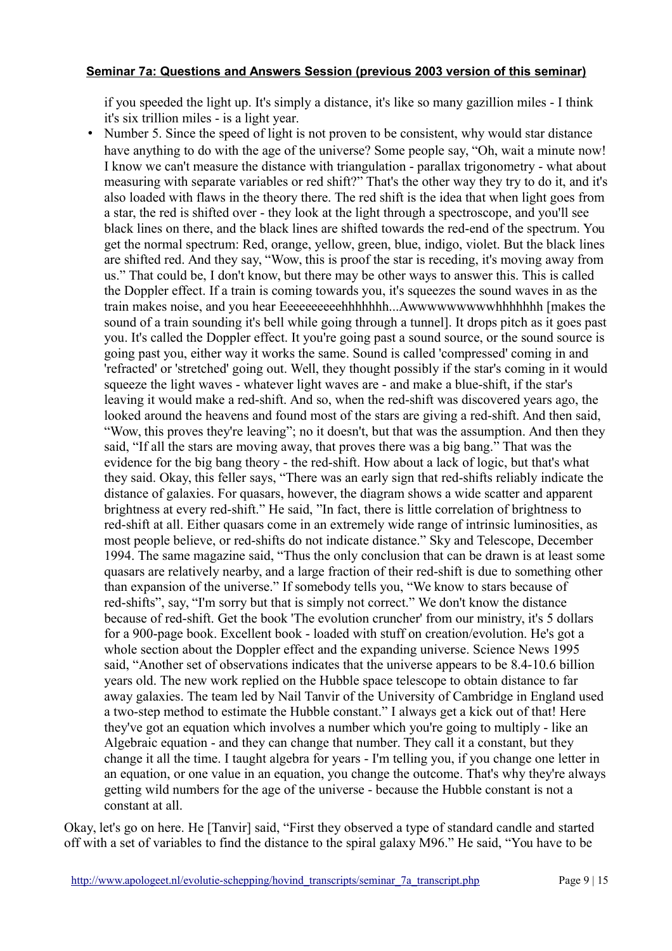if you speeded the light up. It's simply a distance, it's like so many gazillion miles - I think it's six trillion miles - is a light year.

• Number 5. Since the speed of light is not proven to be consistent, why would star distance have anything to do with the age of the universe? Some people say, "Oh, wait a minute now! I know we can't measure the distance with triangulation - parallax trigonometry - what about measuring with separate variables or red shift?" That's the other way they try to do it, and it's also loaded with flaws in the theory there. The red shift is the idea that when light goes from a star, the red is shifted over - they look at the light through a spectroscope, and you'll see black lines on there, and the black lines are shifted towards the red-end of the spectrum. You get the normal spectrum: Red, orange, yellow, green, blue, indigo, violet. But the black lines are shifted red. And they say, "Wow, this is proof the star is receding, it's moving away from us." That could be, I don't know, but there may be other ways to answer this. This is called the Doppler effect. If a train is coming towards you, it's squeezes the sound waves in as the train makes noise, and you hear Eeeeeeeeeehhhhhhh...Awwwwwwwwwhhhhhhh [makes the sound of a train sounding it's bell while going through a tunnel]. It drops pitch as it goes past you. It's called the Doppler effect. It you're going past a sound source, or the sound source is going past you, either way it works the same. Sound is called 'compressed' coming in and 'refracted' or 'stretched' going out. Well, they thought possibly if the star's coming in it would squeeze the light waves - whatever light waves are - and make a blue-shift, if the star's leaving it would make a red-shift. And so, when the red-shift was discovered years ago, the looked around the heavens and found most of the stars are giving a red-shift. And then said, "Wow, this proves they're leaving"; no it doesn't, but that was the assumption. And then they said, "If all the stars are moving away, that proves there was a big bang." That was the evidence for the big bang theory - the red-shift. How about a lack of logic, but that's what they said. Okay, this feller says, "There was an early sign that red-shifts reliably indicate the distance of galaxies. For quasars, however, the diagram shows a wide scatter and apparent brightness at every red-shift." He said, "In fact, there is little correlation of brightness to red-shift at all. Either quasars come in an extremely wide range of intrinsic luminosities, as most people believe, or red-shifts do not indicate distance." Sky and Telescope, December 1994. The same magazine said, "Thus the only conclusion that can be drawn is at least some quasars are relatively nearby, and a large fraction of their red-shift is due to something other than expansion of the universe." If somebody tells you, "We know to stars because of red-shifts", say, "I'm sorry but that is simply not correct." We don't know the distance because of red-shift. Get the book 'The evolution cruncher' from our ministry, it's 5 dollars for a 900-page book. Excellent book - loaded with stuff on creation/evolution. He's got a whole section about the Doppler effect and the expanding universe. Science News 1995 said, "Another set of observations indicates that the universe appears to be 8.4-10.6 billion years old. The new work replied on the Hubble space telescope to obtain distance to far away galaxies. The team led by Nail Tanvir of the University of Cambridge in England used a two-step method to estimate the Hubble constant." I always get a kick out of that! Here they've got an equation which involves a number which you're going to multiply - like an Algebraic equation - and they can change that number. They call it a constant, but they change it all the time. I taught algebra for years - I'm telling you, if you change one letter in an equation, or one value in an equation, you change the outcome. That's why they're always getting wild numbers for the age of the universe - because the Hubble constant is not a constant at all.

Okay, let's go on here. He [Tanvir] said, "First they observed a type of standard candle and started off with a set of variables to find the distance to the spiral galaxy M96." He said, "You have to be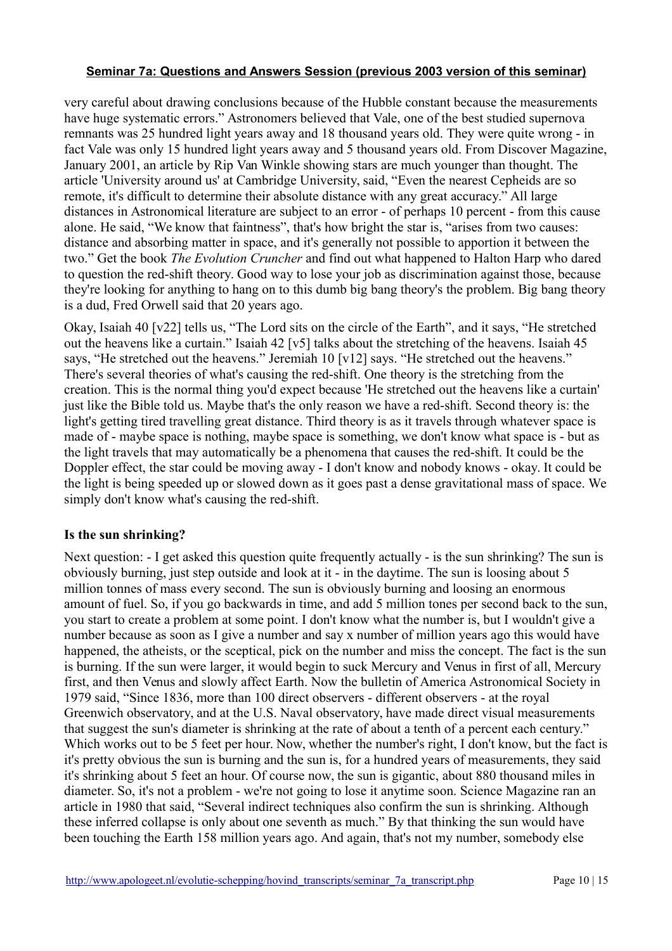very careful about drawing conclusions because of the Hubble constant because the measurements have huge systematic errors." Astronomers believed that Vale, one of the best studied supernova remnants was 25 hundred light years away and 18 thousand years old. They were quite wrong - in fact Vale was only 15 hundred light years away and 5 thousand years old. From Discover Magazine, January 2001, an article by Rip Van Winkle showing stars are much younger than thought. The article 'University around us' at Cambridge University, said, "Even the nearest Cepheids are so remote, it's difficult to determine their absolute distance with any great accuracy." All large distances in Astronomical literature are subject to an error - of perhaps 10 percent - from this cause alone. He said, "We know that faintness", that's how bright the star is, "arises from two causes: distance and absorbing matter in space, and it's generally not possible to apportion it between the two." Get the book *The Evolution Cruncher* and find out what happened to Halton Harp who dared to question the red-shift theory. Good way to lose your job as discrimination against those, because they're looking for anything to hang on to this dumb big bang theory's the problem. Big bang theory is a dud, Fred Orwell said that 20 years ago.

Okay, Isaiah 40 [v22] tells us, "The Lord sits on the circle of the Earth", and it says, "He stretched out the heavens like a curtain." Isaiah 42 [v5] talks about the stretching of the heavens. Isaiah 45 says, "He stretched out the heavens." Jeremiah 10 [v12] says. "He stretched out the heavens." There's several theories of what's causing the red-shift. One theory is the stretching from the creation. This is the normal thing you'd expect because 'He stretched out the heavens like a curtain' just like the Bible told us. Maybe that's the only reason we have a red-shift. Second theory is: the light's getting tired travelling great distance. Third theory is as it travels through whatever space is made of - maybe space is nothing, maybe space is something, we don't know what space is - but as the light travels that may automatically be a phenomena that causes the red-shift. It could be the Doppler effect, the star could be moving away - I don't know and nobody knows - okay. It could be the light is being speeded up or slowed down as it goes past a dense gravitational mass of space. We simply don't know what's causing the red-shift.

# **Is the sun shrinking?**

Next question: - I get asked this question quite frequently actually - is the sun shrinking? The sun is obviously burning, just step outside and look at it - in the daytime. The sun is loosing about 5 million tonnes of mass every second. The sun is obviously burning and loosing an enormous amount of fuel. So, if you go backwards in time, and add 5 million tones per second back to the sun, you start to create a problem at some point. I don't know what the number is, but I wouldn't give a number because as soon as I give a number and say x number of million years ago this would have happened, the atheists, or the sceptical, pick on the number and miss the concept. The fact is the sun is burning. If the sun were larger, it would begin to suck Mercury and Venus in first of all, Mercury first, and then Venus and slowly affect Earth. Now the bulletin of America Astronomical Society in 1979 said, "Since 1836, more than 100 direct observers - different observers - at the royal Greenwich observatory, and at the U.S. Naval observatory, have made direct visual measurements that suggest the sun's diameter is shrinking at the rate of about a tenth of a percent each century." Which works out to be 5 feet per hour. Now, whether the number's right, I don't know, but the fact is it's pretty obvious the sun is burning and the sun is, for a hundred years of measurements, they said it's shrinking about 5 feet an hour. Of course now, the sun is gigantic, about 880 thousand miles in diameter. So, it's not a problem - we're not going to lose it anytime soon. Science Magazine ran an article in 1980 that said, "Several indirect techniques also confirm the sun is shrinking. Although these inferred collapse is only about one seventh as much." By that thinking the sun would have been touching the Earth 158 million years ago. And again, that's not my number, somebody else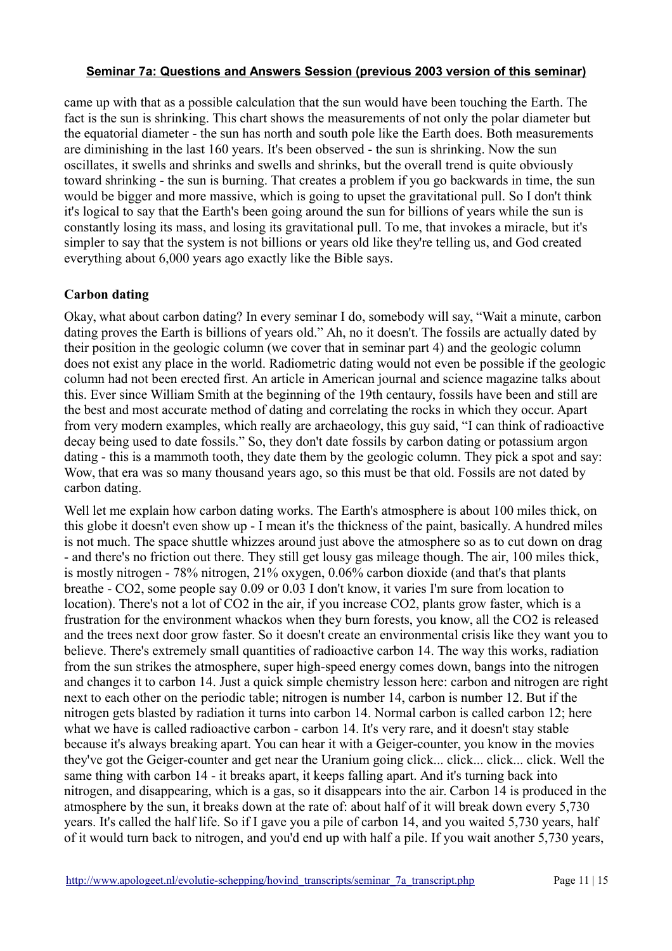came up with that as a possible calculation that the sun would have been touching the Earth. The fact is the sun is shrinking. This chart shows the measurements of not only the polar diameter but the equatorial diameter - the sun has north and south pole like the Earth does. Both measurements are diminishing in the last 160 years. It's been observed - the sun is shrinking. Now the sun oscillates, it swells and shrinks and swells and shrinks, but the overall trend is quite obviously toward shrinking - the sun is burning. That creates a problem if you go backwards in time, the sun would be bigger and more massive, which is going to upset the gravitational pull. So I don't think it's logical to say that the Earth's been going around the sun for billions of years while the sun is constantly losing its mass, and losing its gravitational pull. To me, that invokes a miracle, but it's simpler to say that the system is not billions or years old like they're telling us, and God created everything about 6,000 years ago exactly like the Bible says.

# **Carbon dating**

Okay, what about carbon dating? In every seminar I do, somebody will say, "Wait a minute, carbon dating proves the Earth is billions of years old." Ah, no it doesn't. The fossils are actually dated by their position in the geologic column (we cover that in seminar part 4) and the geologic column does not exist any place in the world. Radiometric dating would not even be possible if the geologic column had not been erected first. An article in American journal and science magazine talks about this. Ever since William Smith at the beginning of the 19th centaury, fossils have been and still are the best and most accurate method of dating and correlating the rocks in which they occur. Apart from very modern examples, which really are archaeology, this guy said, "I can think of radioactive decay being used to date fossils." So, they don't date fossils by carbon dating or potassium argon dating - this is a mammoth tooth, they date them by the geologic column. They pick a spot and say: Wow, that era was so many thousand years ago, so this must be that old. Fossils are not dated by carbon dating.

Well let me explain how carbon dating works. The Earth's atmosphere is about 100 miles thick, on this globe it doesn't even show up - I mean it's the thickness of the paint, basically. A hundred miles is not much. The space shuttle whizzes around just above the atmosphere so as to cut down on drag - and there's no friction out there. They still get lousy gas mileage though. The air, 100 miles thick, is mostly nitrogen - 78% nitrogen, 21% oxygen, 0.06% carbon dioxide (and that's that plants breathe - CO2, some people say 0.09 or 0.03 I don't know, it varies I'm sure from location to location). There's not a lot of CO2 in the air, if you increase CO2, plants grow faster, which is a frustration for the environment whackos when they burn forests, you know, all the CO2 is released and the trees next door grow faster. So it doesn't create an environmental crisis like they want you to believe. There's extremely small quantities of radioactive carbon 14. The way this works, radiation from the sun strikes the atmosphere, super high-speed energy comes down, bangs into the nitrogen and changes it to carbon 14. Just a quick simple chemistry lesson here: carbon and nitrogen are right next to each other on the periodic table; nitrogen is number 14, carbon is number 12. But if the nitrogen gets blasted by radiation it turns into carbon 14. Normal carbon is called carbon 12; here what we have is called radioactive carbon - carbon 14. It's very rare, and it doesn't stay stable because it's always breaking apart. You can hear it with a Geiger-counter, you know in the movies they've got the Geiger-counter and get near the Uranium going click... click... click... click. Well the same thing with carbon 14 - it breaks apart, it keeps falling apart. And it's turning back into nitrogen, and disappearing, which is a gas, so it disappears into the air. Carbon 14 is produced in the atmosphere by the sun, it breaks down at the rate of: about half of it will break down every 5,730 years. It's called the half life. So if I gave you a pile of carbon 14, and you waited 5,730 years, half of it would turn back to nitrogen, and you'd end up with half a pile. If you wait another 5,730 years,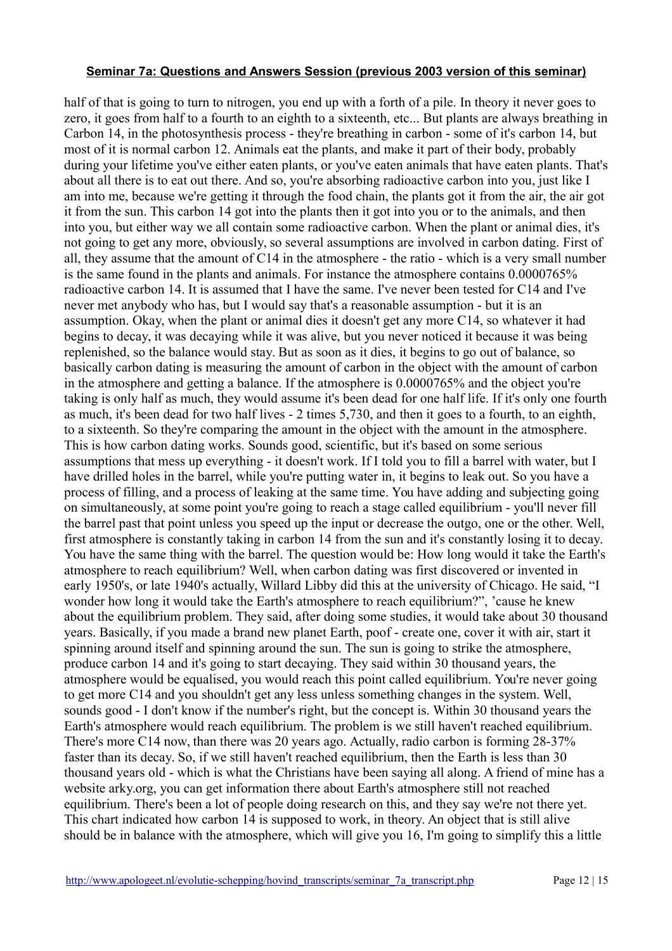half of that is going to turn to nitrogen, you end up with a forth of a pile. In theory it never goes to zero, it goes from half to a fourth to an eighth to a sixteenth, etc... But plants are always breathing in Carbon 14, in the photosynthesis process - they're breathing in carbon - some of it's carbon 14, but most of it is normal carbon 12. Animals eat the plants, and make it part of their body, probably during your lifetime you've either eaten plants, or you've eaten animals that have eaten plants. That's about all there is to eat out there. And so, you're absorbing radioactive carbon into you, just like I am into me, because we're getting it through the food chain, the plants got it from the air, the air got it from the sun. This carbon 14 got into the plants then it got into you or to the animals, and then into you, but either way we all contain some radioactive carbon. When the plant or animal dies, it's not going to get any more, obviously, so several assumptions are involved in carbon dating. First of all, they assume that the amount of C14 in the atmosphere - the ratio - which is a very small number is the same found in the plants and animals. For instance the atmosphere contains 0.0000765% radioactive carbon 14. It is assumed that I have the same. I've never been tested for C14 and I've never met anybody who has, but I would say that's a reasonable assumption - but it is an assumption. Okay, when the plant or animal dies it doesn't get any more C14, so whatever it had begins to decay, it was decaying while it was alive, but you never noticed it because it was being replenished, so the balance would stay. But as soon as it dies, it begins to go out of balance, so basically carbon dating is measuring the amount of carbon in the object with the amount of carbon in the atmosphere and getting a balance. If the atmosphere is 0.0000765% and the object you're taking is only half as much, they would assume it's been dead for one half life. If it's only one fourth as much, it's been dead for two half lives - 2 times 5,730, and then it goes to a fourth, to an eighth, to a sixteenth. So they're comparing the amount in the object with the amount in the atmosphere. This is how carbon dating works. Sounds good, scientific, but it's based on some serious assumptions that mess up everything - it doesn't work. If I told you to fill a barrel with water, but I have drilled holes in the barrel, while you're putting water in, it begins to leak out. So you have a process of filling, and a process of leaking at the same time. You have adding and subjecting going on simultaneously, at some point you're going to reach a stage called equilibrium - you'll never fill the barrel past that point unless you speed up the input or decrease the outgo, one or the other. Well, first atmosphere is constantly taking in carbon 14 from the sun and it's constantly losing it to decay. You have the same thing with the barrel. The question would be: How long would it take the Earth's atmosphere to reach equilibrium? Well, when carbon dating was first discovered or invented in early 1950's, or late 1940's actually, Willard Libby did this at the university of Chicago. He said, "I wonder how long it would take the Earth's atmosphere to reach equilibrium?", 'cause he knew about the equilibrium problem. They said, after doing some studies, it would take about 30 thousand years. Basically, if you made a brand new planet Earth, poof - create one, cover it with air, start it spinning around itself and spinning around the sun. The sun is going to strike the atmosphere, produce carbon 14 and it's going to start decaying. They said within 30 thousand years, the atmosphere would be equalised, you would reach this point called equilibrium. You're never going to get more C14 and you shouldn't get any less unless something changes in the system. Well, sounds good - I don't know if the number's right, but the concept is. Within 30 thousand years the Earth's atmosphere would reach equilibrium. The problem is we still haven't reached equilibrium. There's more C14 now, than there was 20 years ago. Actually, radio carbon is forming 28-37% faster than its decay. So, if we still haven't reached equilibrium, then the Earth is less than 30 thousand years old - which is what the Christians have been saying all along. A friend of mine has a website arky.org, you can get information there about Earth's atmosphere still not reached equilibrium. There's been a lot of people doing research on this, and they say we're not there yet. This chart indicated how carbon 14 is supposed to work, in theory. An object that is still alive should be in balance with the atmosphere, which will give you 16, I'm going to simplify this a little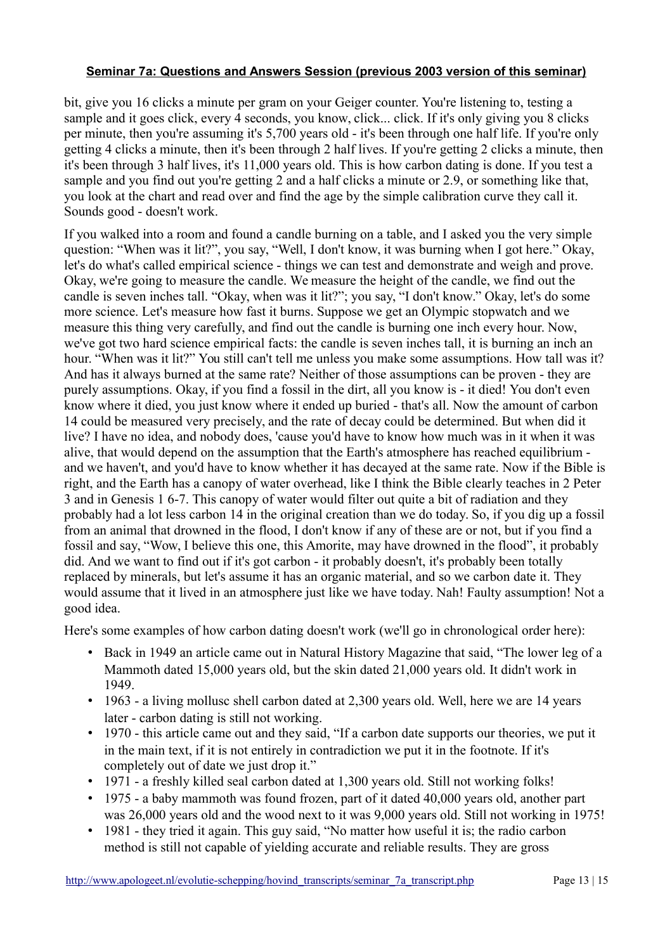bit, give you 16 clicks a minute per gram on your Geiger counter. You're listening to, testing a sample and it goes click, every 4 seconds, you know, click... click. If it's only giving you 8 clicks per minute, then you're assuming it's 5,700 years old - it's been through one half life. If you're only getting 4 clicks a minute, then it's been through 2 half lives. If you're getting 2 clicks a minute, then it's been through 3 half lives, it's 11,000 years old. This is how carbon dating is done. If you test a sample and you find out you're getting 2 and a half clicks a minute or 2.9, or something like that, you look at the chart and read over and find the age by the simple calibration curve they call it. Sounds good - doesn't work.

If you walked into a room and found a candle burning on a table, and I asked you the very simple question: "When was it lit?", you say, "Well, I don't know, it was burning when I got here." Okay, let's do what's called empirical science - things we can test and demonstrate and weigh and prove. Okay, we're going to measure the candle. We measure the height of the candle, we find out the candle is seven inches tall. "Okay, when was it lit?"; you say, "I don't know." Okay, let's do some more science. Let's measure how fast it burns. Suppose we get an Olympic stopwatch and we measure this thing very carefully, and find out the candle is burning one inch every hour. Now, we've got two hard science empirical facts: the candle is seven inches tall, it is burning an inch an hour. "When was it lit?" You still can't tell me unless you make some assumptions. How tall was it? And has it always burned at the same rate? Neither of those assumptions can be proven - they are purely assumptions. Okay, if you find a fossil in the dirt, all you know is - it died! You don't even know where it died, you just know where it ended up buried - that's all. Now the amount of carbon 14 could be measured very precisely, and the rate of decay could be determined. But when did it live? I have no idea, and nobody does, 'cause you'd have to know how much was in it when it was alive, that would depend on the assumption that the Earth's atmosphere has reached equilibrium and we haven't, and you'd have to know whether it has decayed at the same rate. Now if the Bible is right, and the Earth has a canopy of water overhead, like I think the Bible clearly teaches in 2 Peter 3 and in Genesis 1 6-7. This canopy of water would filter out quite a bit of radiation and they probably had a lot less carbon 14 in the original creation than we do today. So, if you dig up a fossil from an animal that drowned in the flood, I don't know if any of these are or not, but if you find a fossil and say, "Wow, I believe this one, this Amorite, may have drowned in the flood", it probably did. And we want to find out if it's got carbon - it probably doesn't, it's probably been totally replaced by minerals, but let's assume it has an organic material, and so we carbon date it. They would assume that it lived in an atmosphere just like we have today. Nah! Faulty assumption! Not a good idea.

Here's some examples of how carbon dating doesn't work (we'll go in chronological order here):

- Back in 1949 an article came out in Natural History Magazine that said, "The lower leg of a Mammoth dated 15,000 years old, but the skin dated 21,000 years old. It didn't work in 1949.
- 1963 a living mollusc shell carbon dated at 2,300 years old. Well, here we are 14 years later - carbon dating is still not working.
- 1970 this article came out and they said, "If a carbon date supports our theories, we put it in the main text, if it is not entirely in contradiction we put it in the footnote. If it's completely out of date we just drop it."
- 1971 a freshly killed seal carbon dated at 1,300 years old. Still not working folks!
- 1975 a baby mammoth was found frozen, part of it dated 40,000 years old, another part was 26,000 years old and the wood next to it was 9,000 years old. Still not working in 1975!
- 1981 they tried it again. This guy said, "No matter how useful it is; the radio carbon method is still not capable of yielding accurate and reliable results. They are gross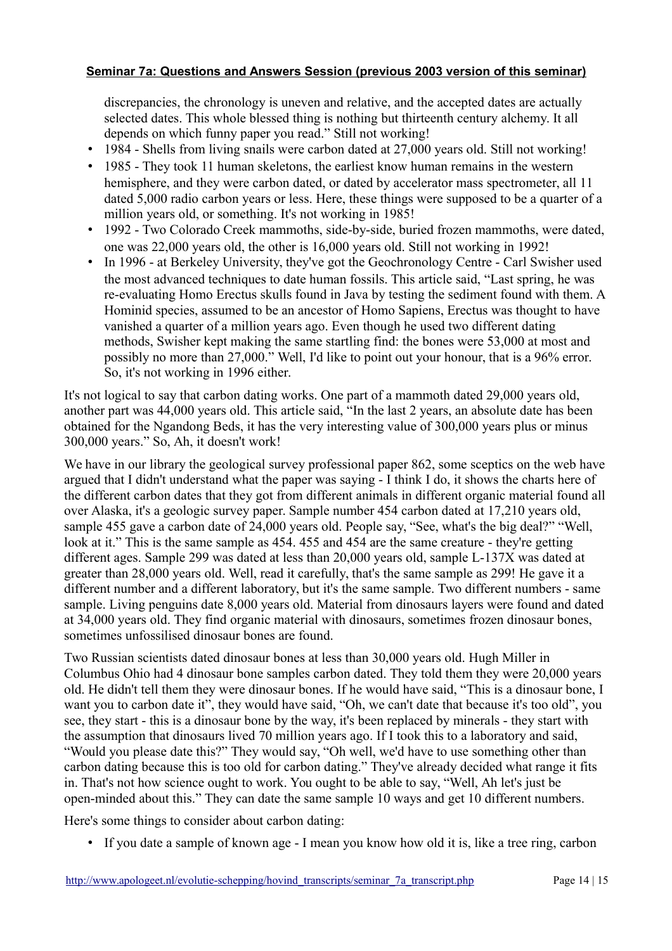discrepancies, the chronology is uneven and relative, and the accepted dates are actually selected dates. This whole blessed thing is nothing but thirteenth century alchemy. It all depends on which funny paper you read." Still not working!

- 1984 Shells from living snails were carbon dated at 27,000 years old. Still not working!
- 1985 They took 11 human skeletons, the earliest know human remains in the western hemisphere, and they were carbon dated, or dated by accelerator mass spectrometer, all 11 dated 5,000 radio carbon years or less. Here, these things were supposed to be a quarter of a million years old, or something. It's not working in 1985!
- 1992 Two Colorado Creek mammoths, side-by-side, buried frozen mammoths, were dated, one was 22,000 years old, the other is 16,000 years old. Still not working in 1992!
- In 1996 at Berkeley University, they've got the Geochronology Centre Carl Swisher used the most advanced techniques to date human fossils. This article said, "Last spring, he was re-evaluating Homo Erectus skulls found in Java by testing the sediment found with them. A Hominid species, assumed to be an ancestor of Homo Sapiens, Erectus was thought to have vanished a quarter of a million years ago. Even though he used two different dating methods, Swisher kept making the same startling find: the bones were 53,000 at most and possibly no more than 27,000." Well, I'd like to point out your honour, that is a 96% error. So, it's not working in 1996 either.

It's not logical to say that carbon dating works. One part of a mammoth dated 29,000 years old, another part was 44,000 years old. This article said, "In the last 2 years, an absolute date has been obtained for the Ngandong Beds, it has the very interesting value of 300,000 years plus or minus 300,000 years." So, Ah, it doesn't work!

We have in our library the geological survey professional paper 862, some sceptics on the web have argued that I didn't understand what the paper was saying - I think I do, it shows the charts here of the different carbon dates that they got from different animals in different organic material found all over Alaska, it's a geologic survey paper. Sample number 454 carbon dated at 17,210 years old, sample 455 gave a carbon date of 24,000 years old. People say, "See, what's the big deal?" "Well, look at it." This is the same sample as 454. 455 and 454 are the same creature - they're getting different ages. Sample 299 was dated at less than 20,000 years old, sample L-137X was dated at greater than 28,000 years old. Well, read it carefully, that's the same sample as 299! He gave it a different number and a different laboratory, but it's the same sample. Two different numbers - same sample. Living penguins date 8,000 years old. Material from dinosaurs layers were found and dated at 34,000 years old. They find organic material with dinosaurs, sometimes frozen dinosaur bones, sometimes unfossilised dinosaur bones are found.

Two Russian scientists dated dinosaur bones at less than 30,000 years old. Hugh Miller in Columbus Ohio had 4 dinosaur bone samples carbon dated. They told them they were 20,000 years old. He didn't tell them they were dinosaur bones. If he would have said, "This is a dinosaur bone, I want you to carbon date it", they would have said, "Oh, we can't date that because it's too old", you see, they start - this is a dinosaur bone by the way, it's been replaced by minerals - they start with the assumption that dinosaurs lived 70 million years ago. If I took this to a laboratory and said, "Would you please date this?" They would say, "Oh well, we'd have to use something other than carbon dating because this is too old for carbon dating." They've already decided what range it fits in. That's not how science ought to work. You ought to be able to say, "Well, Ah let's just be open-minded about this." They can date the same sample 10 ways and get 10 different numbers.

Here's some things to consider about carbon dating:

• If you date a sample of known age - I mean you know how old it is, like a tree ring, carbon